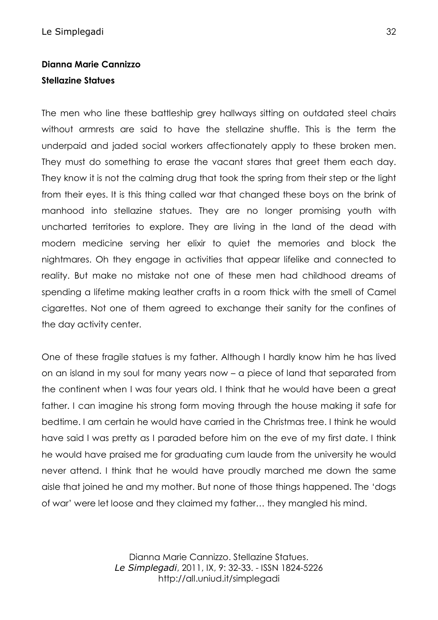## **Dianna Marie Cannizzo Stellazine Statues**

The men who line these battleship grey hallways sitting on outdated steel chairs without armrests are said to have the stellazine shuffle. This is the term the underpaid and jaded social workers affectionately apply to these broken men. They must do something to erase the vacant stares that greet them each day. They know it is not the calming drug that took the spring from their step or the light from their eyes. It is this thing called war that changed these boys on the brink of manhood into stellazine statues. They are no longer promising youth with uncharted territories to explore. They are living in the land of the dead with modern medicine serving her elixir to quiet the memories and block the nightmares. Oh they engage in activities that appear lifelike and connected to reality. But make no mistake not one of these men had childhood dreams of spending a lifetime making leather crafts in a room thick with the smell of Camel cigarettes. Not one of them agreed to exchange their sanity for the confines of the day activity center.

One of these fragile statues is my father. Although I hardly know him he has lived on an island in my soul for many years now – a piece of land that separated from the continent when I was four years old. I think that he would have been a great father. I can imagine his strong form moving through the house making it safe for bedtime. I am certain he would have carried in the Christmas tree. I think he would have said I was pretty as I paraded before him on the eve of my first date. I think he would have praised me for graduating cum laude from the university he would never attend. I think that he would have proudly marched me down the same aisle that joined he and my mother. But none of those things happened. The 'dogs of war' were let loose and they claimed my father… they mangled his mind.

> Dianna Marie Cannizzo. Stellazine Statues. *Le Simplegadi*, 2011, IX, 9: 32-33. - ISSN 1824-5226 http://all.uniud.it/simplegadi